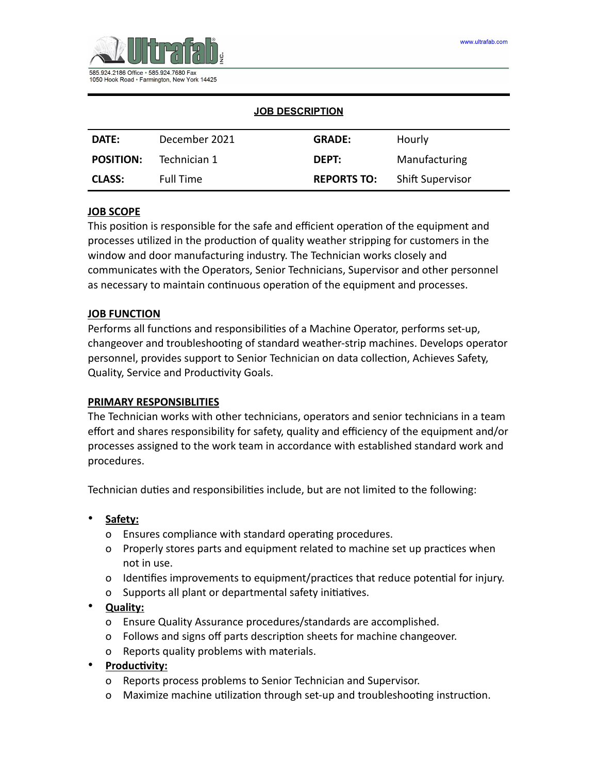| DATE:            | December 2021 | <b>GRADE:</b>      | Hourly                  |
|------------------|---------------|--------------------|-------------------------|
| <b>POSITION:</b> | Technician 1  | DEPT:              | Manufacturing           |
| <b>CLASS:</b>    | Full Time     | <b>REPORTS TO:</b> | <b>Shift Supervisor</b> |

#### **JOB DESCRIPTION**

## **JOB SCOPE**

This position is responsible for the safe and efficient operation of the equipment and processes utilized in the production of quality weather stripping for customers in the window and door manufacturing industry. The Technician works closely and communicates with the Operators, Senior Technicians, Supervisor and other personnel as necessary to maintain continuous operation of the equipment and processes.

#### **JOB FUNCTION**

Performs all functions and responsibilities of a Machine Operator, performs set-up, changeover and troubleshooting of standard weather-strip machines. Develops operator personnel, provides support to Senior Technician on data collection, Achieves Safety, Quality, Service and Productivity Goals.

#### **PRIMARY RESPONSIBLITIES**

The Technician works with other technicians, operators and senior technicians in a team effort and shares responsibility for safety, quality and efficiency of the equipment and/or processes assigned to the work team in accordance with established standard work and procedures.

Technician duties and responsibilities include, but are not limited to the following:

- **Safety:** 
	- o Ensures compliance with standard operating procedures.
	- o Properly stores parts and equipment related to machine set up practices when not in use.
	- o Identifies improvements to equipment/practices that reduce potential for injury.
	- o Supports all plant or departmental safety initiatives.
- **Quality:** 
	- o Ensure Quality Assurance procedures/standards are accomplished.
	- o Follows and signs off parts description sheets for machine changeover.
	- o Reports quality problems with materials.
- **Productivity:** 
	- o Reports process problems to Senior Technician and Supervisor.
	- o Maximize machine utilization through set-up and troubleshooting instruction.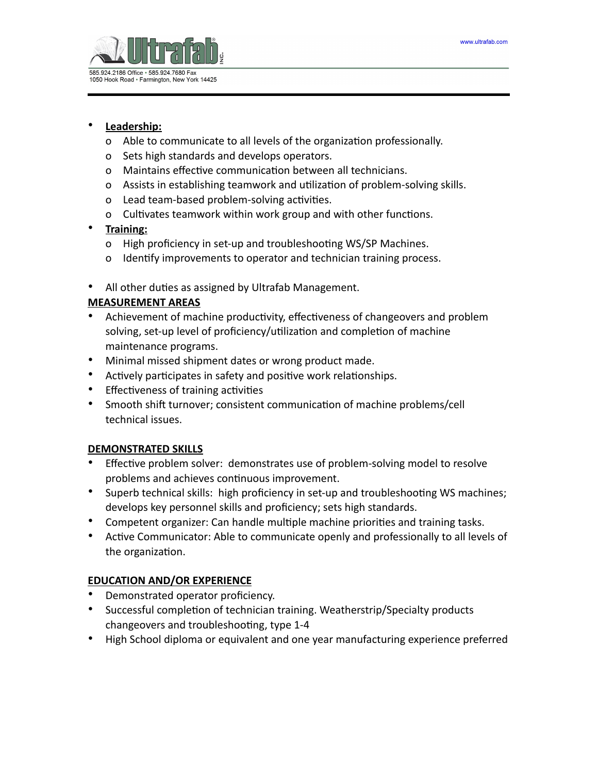

# • **Leadership:**

- o Able to communicate to all levels of the organization professionally.
- o Sets high standards and develops operators.
- o Maintains effective communication between all technicians.
- o Assists in establishing teamwork and utilization of problem-solving skills.
- o Lead team-based problem-solving activities.
- o Cultivates teamwork within work group and with other functions.

# • **Training:**

- o High proficiency in set-up and troubleshooting WS/SP Machines.
- o Identify improvements to operator and technician training process.
- All other duties as assigned by Ultrafab Management.

# **MEASUREMENT AREAS**

- Achievement of machine productivity, effectiveness of changeovers and problem solving, set-up level of proficiency/utilization and completion of machine maintenance programs.
- Minimal missed shipment dates or wrong product made.
- Actively participates in safety and positive work relationships.
- Effectiveness of training activities
- Smooth shift turnover; consistent communication of machine problems/cell technical issues.

# **DEMONSTRATED SKILLS**

- Effective problem solver: demonstrates use of problem-solving model to resolve problems and achieves continuous improvement.
- Superb technical skills: high proficiency in set-up and troubleshooting WS machines; develops key personnel skills and proficiency; sets high standards.
- Competent organizer: Can handle multiple machine priorities and training tasks.
- Active Communicator: Able to communicate openly and professionally to all levels of the organization.

# **EDUCATION AND/OR EXPERIENCE**

- Demonstrated operator proficiency.
- Successful completion of technician training. Weatherstrip/Specialty products changeovers and troubleshooting, type 1-4
- High School diploma or equivalent and one year manufacturing experience preferred